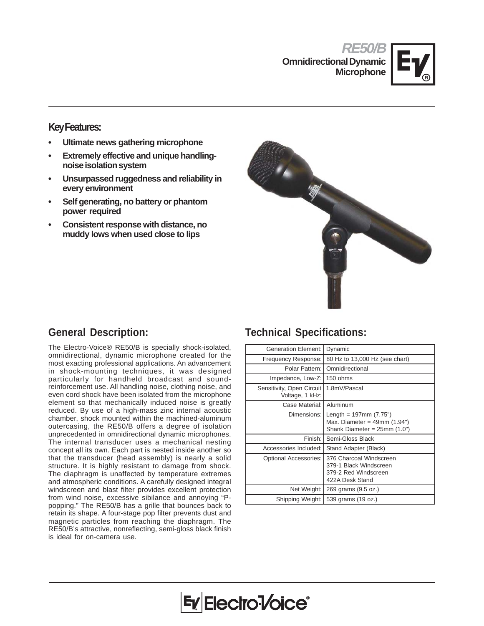**RE50/B Omnidirectional Dynamic Microphone**



### **Key Features:**

- **Ultimate news gathering microphone**
- **Extremely effective and unique handlingnoise isolation system**
- **Unsurpassed ruggedness and reliability in every environment**
- **Self generating, no battery or phantom power required**
- **Consistent response with distance, no muddy lows when used close to lips**



# **General Description:**

The Electro-Voice® RE50/B is specially shock-isolated, omnidirectional, dynamic microphone created for the most exacting professional applications. An advancement in shock-mounting techniques, it was designed particularly for handheld broadcast and soundreinforcement use. All handling noise, clothing noise, and even cord shock have been isolated from the microphone element so that mechanically induced noise is greatly reduced. By use of a high-mass zinc internal acoustic chamber, shock mounted within the machined-aluminum outercasing, the RE50/B offers a degree of isolation unprecedented in omnidirectional dynamic microphones. The internal transducer uses a mechanical nesting concept all its own. Each part is nested inside another so that the transducer (head assembly) is nearly a solid structure. It is highly resistant to damage from shock. The diaphragm is unaffected by temperature extremes and atmospheric conditions. A carefully designed integral windscreen and blast filter provides excellent protection from wind noise, excessive sibilance and annoying "Ppopping." The RE50/B has a grille that bounces back to retain its shape. A four-stage pop filter prevents dust and magnetic particles from reaching the diaphragm. The RE50/B's attractive, nonreflecting, semi-gloss black finish is ideal for on-camera use.

# **Technical Specifications:**

| <b>Generation Element:</b>                   | Dynamic                                                                                             |
|----------------------------------------------|-----------------------------------------------------------------------------------------------------|
| Frequency Response:                          | 80 Hz to 13,000 Hz (see chart)                                                                      |
| Polar Pattern:                               | Omnidirectional                                                                                     |
| Impedance, Low-Z:                            | 150 ohms                                                                                            |
| Sensitivity, Open Circuit<br>Voltage, 1 kHz: | 1.8mV/Pascal                                                                                        |
| Case Material:                               | Aluminum                                                                                            |
| Dimensions:                                  | Length = $197 \text{mm}$ (7.75")<br>Max. Diameter = $49$ mm (1.94")<br>Shank Diameter = 25mm (1.0") |
| Finish: I                                    | Semi-Gloss Black                                                                                    |
| Accessories Included:                        | Stand Adapter (Black)                                                                               |
| <b>Optional Accessories:</b>                 | 376 Charcoal Windscreen<br>379-1 Black Windscreen<br>379-2 Red Windscreen<br>422A Desk Stand        |
| Net Weight:                                  | 269 grams (9.5 oz.)                                                                                 |
| Shipping Weight:                             | 539 grams (19 oz.)                                                                                  |